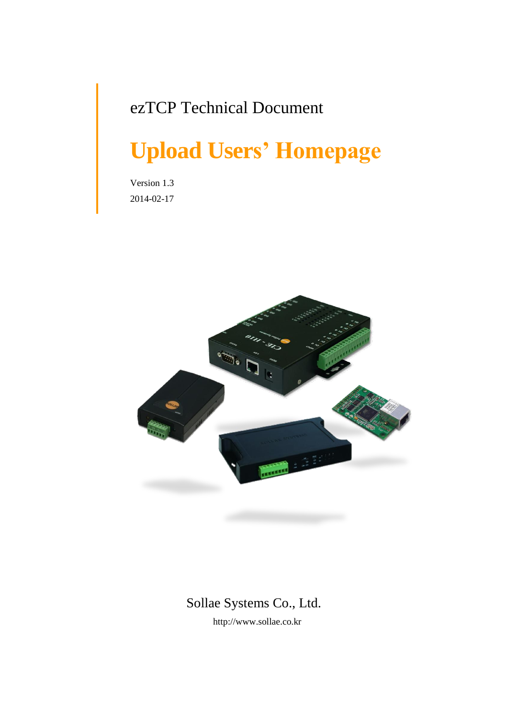## ezTCP Technical Document

# **Upload Users' Homepage**

Version 1.3 2014-02-17



### Sollae Systems Co., Ltd.

http://www.sollae.co.kr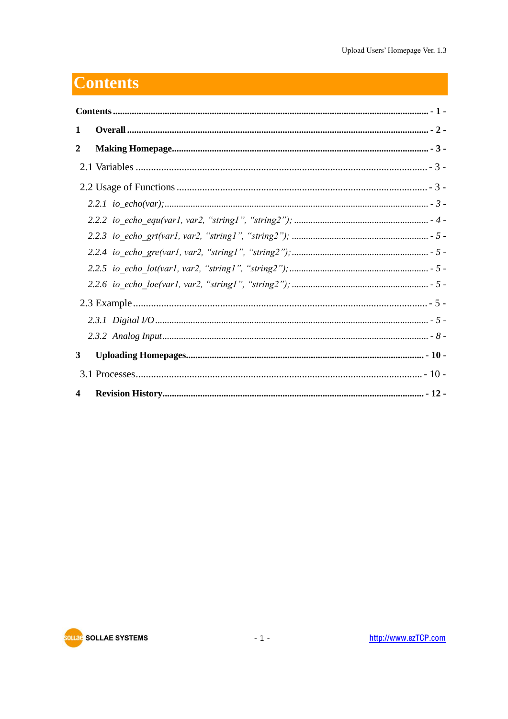## <span id="page-1-0"></span>**Contents**

| 1           |  |  |  |  |  |
|-------------|--|--|--|--|--|
| 2           |  |  |  |  |  |
|             |  |  |  |  |  |
|             |  |  |  |  |  |
|             |  |  |  |  |  |
|             |  |  |  |  |  |
|             |  |  |  |  |  |
|             |  |  |  |  |  |
|             |  |  |  |  |  |
|             |  |  |  |  |  |
|             |  |  |  |  |  |
|             |  |  |  |  |  |
|             |  |  |  |  |  |
| $3^{\circ}$ |  |  |  |  |  |
|             |  |  |  |  |  |
| 4           |  |  |  |  |  |

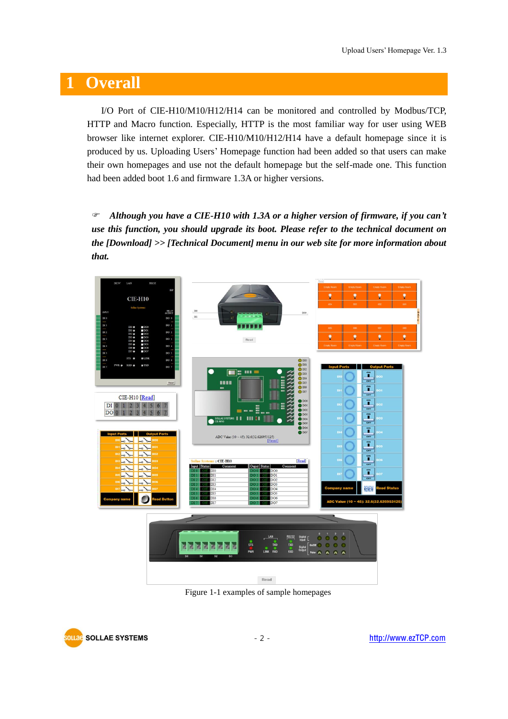### <span id="page-2-0"></span>**1 Overall**

I/O Port of CIE-H10/M10/H12/H14 can be monitored and controlled by Modbus/TCP, HTTP and Macro function. Especially, HTTP is the most familiar way for user using WEB browser like internet explorer. CIE-H10/M10/H12/H14 have a default homepage since it is produced by us. Uploading Users' Homepage function had been added so that users can make their own homepages and use not the default homepage but the self-made one. This function had been added boot 1.6 and firmware 1.3A or higher versions.

 *Although you have a CIE-H10 with 1.3A or a higher version of firmware, if you can't use this function, you should upgrade its boot. Please refer to the technical document on the [Download] >> [Technical Document] menu in our web site for more information about that.*



Figure 1-1 examples of sample homepages

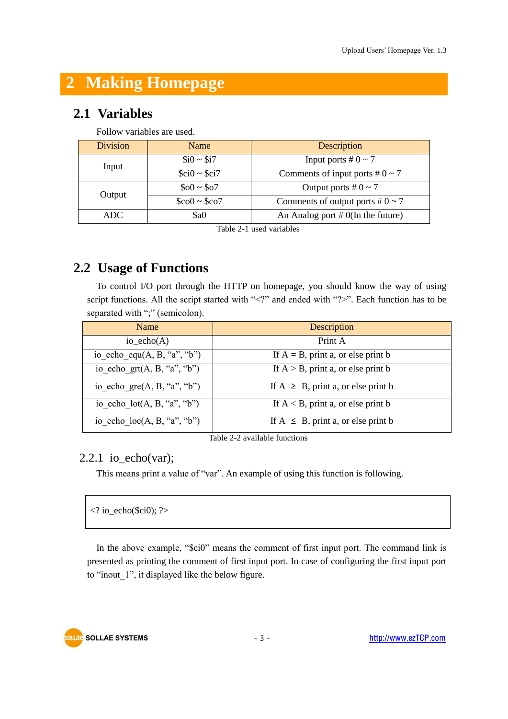### <span id="page-3-0"></span>**2 Making Homepage**

#### <span id="page-3-1"></span>**2.1 Variables**

| Follow variables are used. |                                  |                                            |  |  |
|----------------------------|----------------------------------|--------------------------------------------|--|--|
| <b>Division</b>            | Name                             | Description                                |  |  |
| Input                      | $$i0 \sim $i7$                   | Input ports # $0 \sim 7$                   |  |  |
|                            | $\text{Sci}0 \sim \text{Sci}7$   | Comments of input ports # $0 \sim 7$       |  |  |
| Output                     | $$00 \sim $07$                   | Output ports # $0 \sim 7$                  |  |  |
|                            | $\text{\$col} \sim \text{\$col}$ | Comments of output ports # $0 \sim 7$      |  |  |
| ADC                        | \$a0                             | An Analog port $# O(\text{In the future})$ |  |  |
|                            |                                  |                                            |  |  |

Table 2-1 used variables

### <span id="page-3-2"></span>**2.2 Usage of Functions**

To control I/O port through the HTTP on homepage, you should know the way of using script functions. All the script started with "<?" and ended with "?>". Each function has to be separated with ";" (semicolon).

| <b>Name</b>                          | Description                              |
|--------------------------------------|------------------------------------------|
| io echo $(A)$                        | Print A                                  |
| io echo equ $(A, B, "a", "b")$       | If $A = B$ , print a, or else print b    |
| io echo grt $(A, B, "a", "b")$       | If $A > B$ , print a, or else print b    |
| io echo gre $(A, B, "a", "b")$       | If $A \geq B$ , print a, or else print b |
| io echo $lot(A, B, "a", "b")$        | If $A < B$ , print a, or else print b    |
| io echo $\text{loc}(A, B, "a", "b")$ | If $A \leq B$ , print a, or else print b |

Table 2-2 available functions

#### <span id="page-3-3"></span> $2.2.1$  io\_echo(var);

This means print a value of "var". An example of using this function is following.

| $\vert$ io_echo(\$ci0); ? |  |  |  |
|---------------------------|--|--|--|
|---------------------------|--|--|--|

In the above example, "\$ci0" means the comment of first input port. The command link is presented as printing the comment of first input port. In case of configuring the first input port to "inout\_1", it displayed like the below figure.



 $\overline{1}$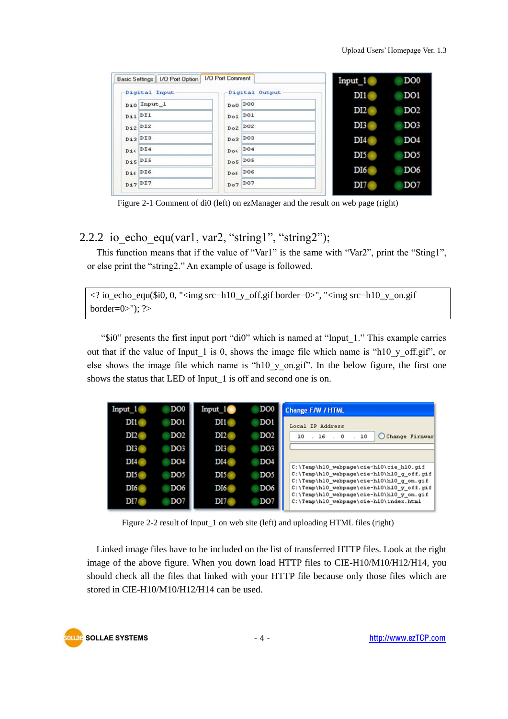| Basic Settings   I/O Port Option   I/O Port Comment |                | Input 1         | DO <sub>0</sub> |
|-----------------------------------------------------|----------------|-----------------|-----------------|
| Digital Input                                       | Digital Output | DI1             | DO <sub>1</sub> |
| Di0 Input_1                                         | $DoO$ $DOO$    | DI2(            | DO <sub>2</sub> |
| $D_{11}$ $D_{11}$                                   | $Do1$ $Do1$    |                 |                 |
| $Di2$ DI2                                           | $DoZ$ $DoZ$    | DI3             | DO <sub>3</sub> |
| $Di3$ $DI3$                                         | $Do3$ $Do3$    | DI4(            | DO <sub>4</sub> |
| $Di \in 14$                                         | $Do\leq 1004$  | DI <sub>5</sub> | DO <sub>5</sub> |
| $Dis$ <sup>DIS</sup>                                | $Do5$ $Do5$    | DI6             | DO <sub>6</sub> |
| $\texttt{Die} \texttt{DIS}$                         | $DoE$ DO6      |                 |                 |
| $Di7$ <sup>DI7</sup>                                | $Do7$ $Do7$    | DI7             | DO <sub>7</sub> |

Figure 2-1 Comment of di0 (left) on ezManager and the result on web page (right)

#### <span id="page-4-0"></span>2.2.2 io echo equ(var1, var2, "string1", "string2");

This function means that if the value of "Var1" is the same with "Var2", print the "Sting1", or else print the "string2." An example of usage is followed.

 $\langle$ ? io\_echo\_equ(\$i0, 0, " $\langle$ img src=h10\_y\_off.gif border=0 $\rangle$ ", " $\langle$ img src=h10\_y\_on.gif border= $0$ >"); ?>

"\$i0" presents the first input port "di0" which is named at "Input\_1." This example carries out that if the value of Input\_1 is 0, shows the image file which name is "h10\_y\_off.gif", or else shows the image file which name is "h10\_y\_on.gif". In the below figure, the first one shows the status that LED of Input\_1 is off and second one is on.

| Input           | DO <sub>0</sub> | Input 1         | DO <sub>0</sub> | <b>Change F/W / HTML</b>                                                              |
|-----------------|-----------------|-----------------|-----------------|---------------------------------------------------------------------------------------|
| DI1             | DO <sub>1</sub> | DI1             | DO <sub>1</sub> | Local IP Address                                                                      |
| DI2             | DO <sub>2</sub> | DI2             | DO <sub>2</sub> | Change Firmwar<br>10<br>16.0<br>10                                                    |
| DI3             | DO <sub>3</sub> | DI3             | DO <sub>3</sub> |                                                                                       |
| <b>DI4</b>      | DO <sub>4</sub> | DI4             | DO <sub>4</sub> | C:\Temp\hl0 webpage\cie-hl0\cie hl0.gif                                               |
| DI5             | DO <sub>5</sub> | DI <sub>5</sub> | DO <sub>5</sub> | C:\Temp\hl0_webpage\cie-hl0\hl0_g_off.gif<br>C:\Temp\hl0 webpage\cie-hl0\hl0 g on.gif |
| DI <sub>6</sub> | DO <sub>6</sub> | DI <sub>6</sub> | DO <sub>6</sub> | C:\Temp\hl0 webpage\cie-hl0\hl0 y off.gif<br>C:\Temp\hl0 webpage\cie-hl0\hl0 y on.gif |
| DI7             | DO <sub>7</sub> | DI7             | DO <sub>7</sub> | C:\Temp\hl0_webpage\cie-hl0\index.html                                                |

Figure 2-2 result of Input\_1 on web site (left) and uploading HTML files (right)

Linked image files have to be included on the list of transferred HTTP files. Look at the right image of the above figure. When you down load HTTP files to CIE-H10/M10/H12/H14, you should check all the files that linked with your HTTP file because only those files which are stored in CIE-H10/M10/H12/H14 can be used.

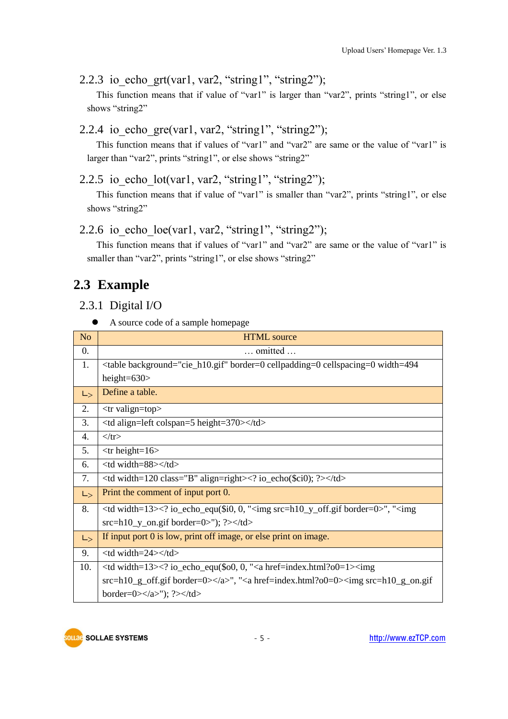```
2.2.3 io echo grt(var1, var2, "string1", "string2");
```
This function means that if value of "var1" is larger than "var2", prints "string1", or else shows "string2"

```
2.2.4 io echo gre(var1, var2, "string1", "string2");
```
This function means that if values of "var1" and "var2" are same or the value of "var1" is larger than "var2", prints "string1", or else shows "string2"

```
2.2.5 io_echo_lot(var1, var2, "string1", "string2");
```
This function means that if value of "var1" is smaller than "var2", prints "string1", or else shows "string2"

#### <span id="page-5-3"></span>2.2.6 io echo  $loc(var1, var2, "string1", "string2");$

This function means that if values of "var1" and "var2" are same or the value of "var1" is smaller than "var2", prints "string1", or else shows "string2"

### <span id="page-5-4"></span>**2.3 Example**

<span id="page-5-5"></span>2.3.1 Digital I/O

```
 A source code of a sample homepage
```

| N <sub>o</sub>   | <b>HTML</b> source                                                                                     |  |  |  |  |  |
|------------------|--------------------------------------------------------------------------------------------------------|--|--|--|--|--|
| $\overline{0}$ . | $\ldots$ omitted $\ldots$                                                                              |  |  |  |  |  |
| 1.               | <table background="cie_h10.gif" border="0" cellpadding="0" cellspacing="0" width="494&lt;/th"></table> |  |  |  |  |  |
|                  | height= $630$                                                                                          |  |  |  |  |  |
| $L_{>}$          | Define a table.                                                                                        |  |  |  |  |  |
| 2.               | $<$ tr valign=top>                                                                                     |  |  |  |  |  |
| 3.               | <td align="left" colspan="5" height="370"></td>                                                        |  |  |  |  |  |
| 4.               | $\langle t$ r $>$                                                                                      |  |  |  |  |  |
| 5.               | $<$ tr height=16>                                                                                      |  |  |  |  |  |
| 6.               | <td width="88"></td>                                                                                   |  |  |  |  |  |
| 7.               | $\lt$ td width=120 class="B" align=right> $\lt$ ? io_echo(\$ci0); ?> $\lt$ /td>                        |  |  |  |  |  |
| $L_{>}$          | Print the comment of input port 0.                                                                     |  |  |  |  |  |
| 8.               | $\lt$ td width=13> $\lt$ ? io_echo_equ(\$i0, 0, " $\lt$ img src=h10_y_off.gif border=0>", " $\lt$ img  |  |  |  |  |  |
|                  | $src=h10_y$ on.gif border=0>"); ?>                                                                     |  |  |  |  |  |
| $L_{>}$          | If input port $0$ is low, print off image, or else print on image.                                     |  |  |  |  |  |
| 9.               | $<$ td width=24> $<$ /td>                                                                              |  |  |  |  |  |
| 10.              | $\lt$ td width=13> $\lt$ ? io_echo_equ(\$00, 0, " $\lt$ a href=index.html?o0=1> $\lt$ img              |  |  |  |  |  |
|                  | $src=h10_g$ off.gif border=0>", " <a href="index.html?o0=0"><img <math=""/>src=h10_g on.gif</a>        |  |  |  |  |  |
|                  |                                                                                                        |  |  |  |  |  |

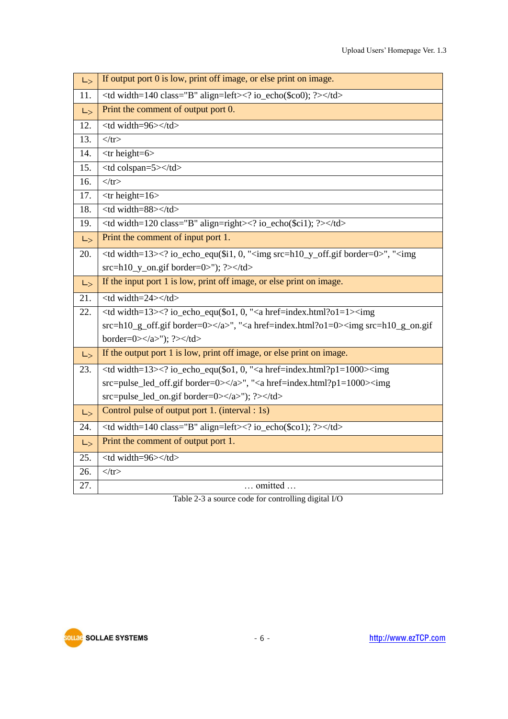| $L_{>}$ | If output port 0 is low, print off image, or else print on image.                                               |                                                                                |  |  |  |  |
|---------|-----------------------------------------------------------------------------------------------------------------|--------------------------------------------------------------------------------|--|--|--|--|
| 11.     | <td align="left" class="B" width="140"><? io_echo(\$co0); ?></td>                                               | io_echo(\$co0); ?                                                              |  |  |  |  |
| $L_{>}$ | Print the comment of output port 0.                                                                             |                                                                                |  |  |  |  |
| 12.     | <td width="96"></td>                                                                                            |                                                                                |  |  |  |  |
| 13.     | $\langle tr \rangle$                                                                                            |                                                                                |  |  |  |  |
| 14.     | $<$ tr height=6>                                                                                                |                                                                                |  |  |  |  |
| 15.     | <td colspan="5"></td>                                                                                           |                                                                                |  |  |  |  |
| 16.     | $\langle t$ r>                                                                                                  |                                                                                |  |  |  |  |
| 17.     | $<$ tr height= $16$ >                                                                                           |                                                                                |  |  |  |  |
| 18.     | <td width="88"></td>                                                                                            |                                                                                |  |  |  |  |
| 19.     | <td align="right" class="B" width="120"><? io_echo(\$ci1); ?></td>                                              | io_echo(\$ci1); ?                                                              |  |  |  |  |
| $L_{>}$ | Print the comment of input port 1.                                                                              |                                                                                |  |  |  |  |
| 20.     | <td width="13"><? io_echo_equ(\$i1, 0, "<img src=h10_y_off.gif border=0>", "<img< th=""></img<></td>            | io_echo_equ(\$i1, 0, "<img src=h10_y_off.gif border=0 ", " <img< th=""></img<> |  |  |  |  |
|         | $src=h10_y$ _on.gif border=0>"); ?>                                                                             |                                                                                |  |  |  |  |
| $L_{>}$ | If the input port 1 is low, print off image, or else print on image.                                            |                                                                                |  |  |  |  |
| 21.     | <td width="24"></td>                                                                                            |                                                                                |  |  |  |  |
| 22.     | <td width="13"><? io_echo_equ(\$o1, 0, "<a href=index.html?o1=1><img< th=""></img<></td>                        | io_echo_equ(\$o1, 0, "<a href=index.html?o1=1 <img< th=""></img<>              |  |  |  |  |
|         | $src=h10_g_{off.}$ gif border=0>", " <a href="index.html?o1=0"><img <math=""/>src=h10_g_{on.}gif</a>            |                                                                                |  |  |  |  |
|         | border=0>"); ?>                                                                                                 |                                                                                |  |  |  |  |
| $L_{>}$ | If the output port 1 is low, print off image, or else print on image.                                           |                                                                                |  |  |  |  |
| 23.     | $\lt$ td width=13> $\lt$ ? io_echo_equ(\$o1, 0, " $\lt$ a href=index.html?p1=1000> $\lt$ img                    |                                                                                |  |  |  |  |
|         | $src = pulse\_led\_off.get border=0 \times /a \times$ ", " <a href="index.html?p1=1000"><img< th=""></img<></a> |                                                                                |  |  |  |  |
|         | $src = pulse\_led\_on$ .gif border= $0 \ll \alpha$ ); ? $\ll \alpha$ td>                                        |                                                                                |  |  |  |  |
| $L_{>}$ | Control pulse of output port 1. (interval : 1s)                                                                 |                                                                                |  |  |  |  |
| 24.     | <td align="left" class="B" width="140"><? io_echo(\$co1); ?></td>                                               | io_echo(\$co1); ?                                                              |  |  |  |  |
| $L_{>}$ | Print the comment of output port 1.                                                                             |                                                                                |  |  |  |  |
| 25.     | <td width="96"></td>                                                                                            |                                                                                |  |  |  |  |
| 26.     | $\langle tr \rangle$                                                                                            |                                                                                |  |  |  |  |
| 27.     | omitted                                                                                                         |                                                                                |  |  |  |  |

Table 2-3 a source code for controlling digital I/O

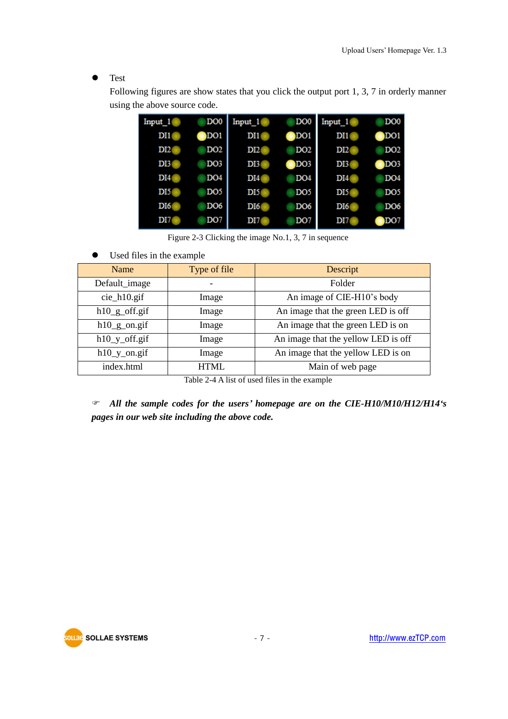Test

Following figures are show states that you click the output port 1, 3, 7 in orderly manner using the above source code.

| Input 1         | DO <sub>0</sub> | Input 1         | DO <sub>0</sub> | Input 1         | DO <sub>0</sub> |
|-----------------|-----------------|-----------------|-----------------|-----------------|-----------------|
| DI1             | DO1             | DI1             | DO1             | DI1             | DO <sub>1</sub> |
| DI2             | DO <sub>2</sub> | DI2             | DO2             | DI2             | DO <sub>2</sub> |
| DI3             | DO <sub>3</sub> | DI3             | DO <sub>3</sub> | DI3             | DO <sub>3</sub> |
| DI4             | DO <sub>4</sub> | DI4             | DO4             | DI4             | DO <sub>4</sub> |
| DI5             | DO <sub>5</sub> | DI5             | DO <sub>5</sub> | DI <sub>5</sub> | DO <sub>5</sub> |
| DI <sub>6</sub> | DO6             | DI <sub>6</sub> | DO6             | DI <sub>6</sub> | DO6             |
| DI7             | DO <sub>7</sub> | DI7             | DO <sub>7</sub> | DI7             | DO <sub>7</sub> |

Figure 2-3 Clicking the image No.1, 3, 7 in sequence

Used files in the example

| Name             | Type of file | Descript                            |
|------------------|--------------|-------------------------------------|
| Default_image    |              | Folder                              |
| $cie_h10.git$    | Image        | An image of CIE-H10's body          |
| $h10_g$ _off.gif | Image        | An image that the green LED is off  |
| $h10$ _g_on.gif  | Image        | An image that the green LED is on   |
| $h10_y_off.$ gif | Image        | An image that the yellow LED is off |
| $h10_y$ _on.gif  | Image        | An image that the yellow LED is on  |
| index.html       | $HTMI$ .     | Main of web page                    |

Table 2-4 A list of used files in the example

 *All the sample codes for the users' homepage are on the CIE-H10/M10/H12/H14's pages in our web site including the above code.*

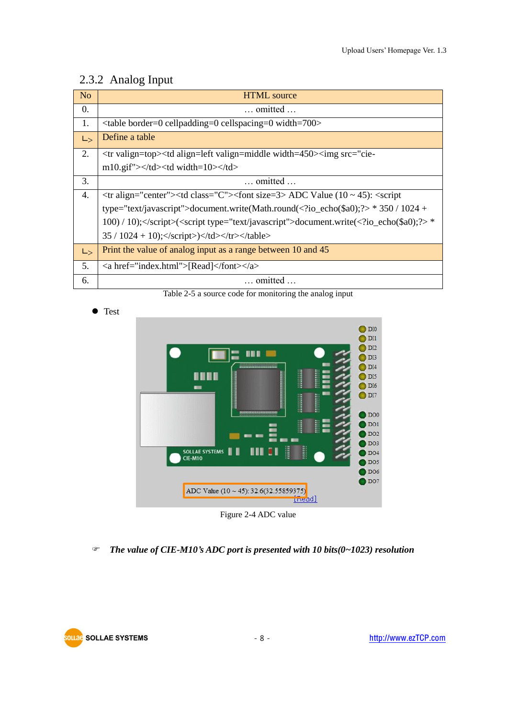#### <span id="page-8-0"></span>2.3.2 Analog Input

| N <sub>o</sub>                                                                          | <b>HTML</b> source                                                                                                                                                                  |                                                                                         |  |
|-----------------------------------------------------------------------------------------|-------------------------------------------------------------------------------------------------------------------------------------------------------------------------------------|-----------------------------------------------------------------------------------------|--|
| 0.                                                                                      | $\ldots$ omitted $\ldots$                                                                                                                                                           |                                                                                         |  |
| 1.                                                                                      | $\lt$ table border=0 cellpadding=0 cellspacing=0 width=700>                                                                                                                         |                                                                                         |  |
| $L_{>}$                                                                                 | Define a table                                                                                                                                                                      |                                                                                         |  |
| 2.                                                                                      | <tr valign="top"><td align="left" valign="middle" width="450"><img src="cie-&lt;/th&gt;&lt;/tr&gt;&lt;tr&gt;&lt;th&gt;&lt;/th&gt;&lt;th&gt;m10.gif"/></td><td width="10"></td></tr> | <img src="cie-&lt;/th&gt;&lt;/tr&gt;&lt;tr&gt;&lt;th&gt;&lt;/th&gt;&lt;th&gt;m10.gif"/> |  |
| <img src="cie-&lt;/th&gt;&lt;/tr&gt;&lt;tr&gt;&lt;th&gt;&lt;/th&gt;&lt;th&gt;m10.gif"/> |                                                                                                                                                                                     |                                                                                         |  |
| 3.                                                                                      | $\dots$ omitted $\dots$                                                                                                                                                             |                                                                                         |  |
| 4.                                                                                      | $\langle$ tr align="center"> $\langle$ td class="C"> $\langle$ font size=3> ADC Value (10 ~ 45): $\langle$ script                                                                   |                                                                                         |  |
|                                                                                         | type="text/javascript">document.write(Math.round( io_echo(\$a0);? * 350 / 1024 +                                                                                                    |                                                                                         |  |
|                                                                                         | 100) / 10); $\langle$ script $\langle$ < script type="text/javascript">document.write( io_echo(\$a0); ? *                                                                           |                                                                                         |  |
|                                                                                         | $35 / 1024 + 10$ ; $\langle \text{script} \rangle$ $\langle \text{td} \rangle$ $\langle \text{tr} \rangle$ $\langle \text{table} \rangle$                                           |                                                                                         |  |
| $L_{>}$                                                                                 | Print the value of analog input as a range between 10 and 45                                                                                                                        |                                                                                         |  |
| 5.                                                                                      | <a href="index.html">[Read]</a>                                                                                                                                                     |                                                                                         |  |
| 6.                                                                                      | $\dots$ omitted $\dots$                                                                                                                                                             |                                                                                         |  |

Table 2-5 a source code for monitoring the analog input





Figure 2-4 ADC value

*The value of CIE-M10's ADC port is presented with 10 bits(0~1023) resolution*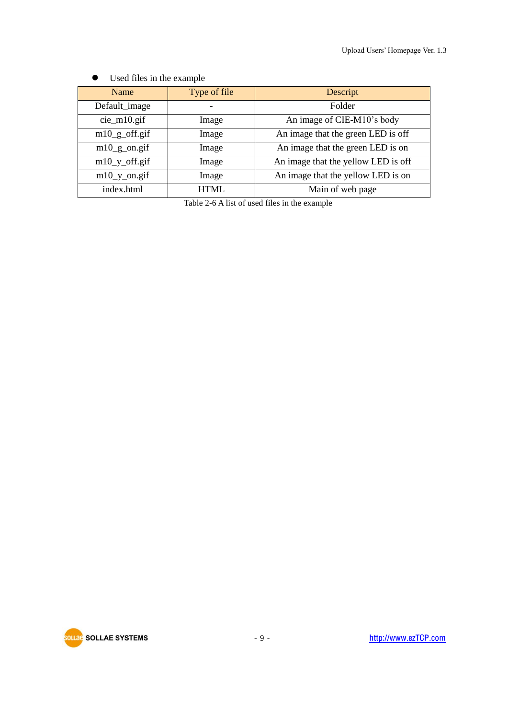| Name             | Type of file | Descript                            |
|------------------|--------------|-------------------------------------|
| Default_image    |              | Folder                              |
| $cie_m10$ .gif   | Image        | An image of CIE-M10's body          |
| $m10_g$ _off.gif | Image        | An image that the green LED is off  |
| $m10_g$ on.gif   | Image        | An image that the green LED is on   |
| $m10_y_off.$ gif | Image        | An image that the yellow LED is off |
| $m10_y$ _on.gif  | Image        | An image that the yellow LED is on  |
| index.html       | <b>HTML</b>  | Main of web page                    |

#### Used files in the example

Table 2-6 A list of used files in the example

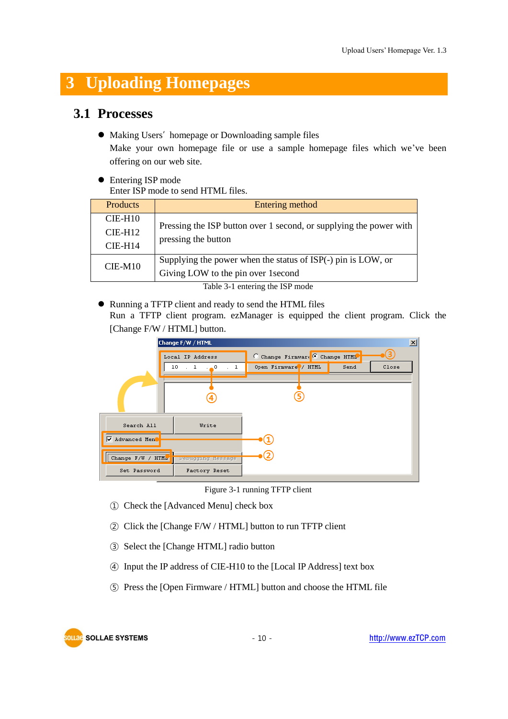## <span id="page-10-0"></span>**3 Uploading Homepages**

#### <span id="page-10-1"></span>**3.1 Processes**

 $\bullet$  Making Users' homepage or Downloading sample files

Make your own homepage file or use a sample homepage files which we've been offering on our web site.

• Entering ISP mode Enter ISP mode to send HTML files.

| <b>Products</b> | Entering method                                                    |  |
|-----------------|--------------------------------------------------------------------|--|
| $CIE-H10$       | Pressing the ISP button over 1 second, or supplying the power with |  |
| $CIE-H12$       | pressing the button                                                |  |
| $CIE-H14$       |                                                                    |  |
| $CIE-M10$       | Supplying the power when the status of ISP(-) pin is LOW, or       |  |
|                 | Giving LOW to the pin over 1 second                                |  |

Table 3-1 entering the ISP mode

Running a TFTP client and ready to send the HTML files

Run a TFTP client program. ezManager is equipped the client program. Click the [Change F/W / HTML] button.



Figure 3-1 running TFTP client

- ① Check the [Advanced Menu] check box
- ② Click the [Change F/W / HTML] button to run TFTP client
- ③ Select the [Change HTML] radio button
- ④ Input the IP address of CIE-H10 to the [Local IP Address] text box
- ⑤ Press the [Open Firmware / HTML] button and choose the HTML file

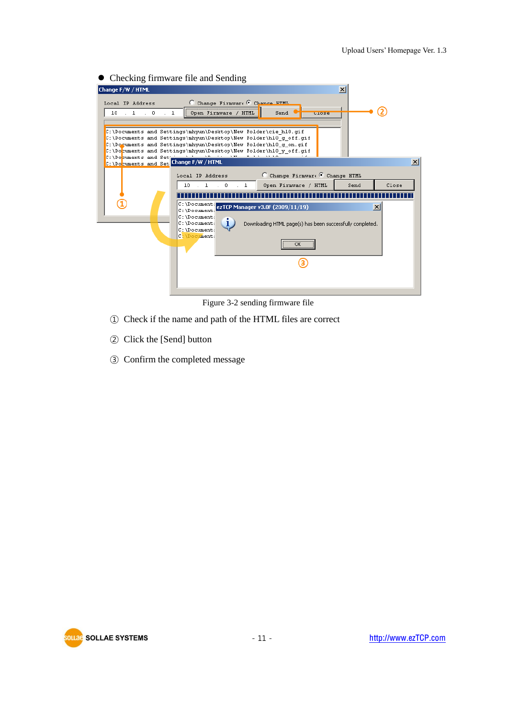| Change F/W / HTML<br>$\boldsymbol{\mathsf{x}}$                                                                                                                     |
|--------------------------------------------------------------------------------------------------------------------------------------------------------------------|
|                                                                                                                                                                    |
| Change Firmware C Change HTML<br>Local IP Address                                                                                                                  |
| $\overline{1}$<br>$\therefore$ 0<br>10<br>$\cdots$<br>Send<br>Open Firmware /<br><b>HTML</b><br>ulose                                                              |
|                                                                                                                                                                    |
| C:\Documents and Settings\mhyun\Desktop\New Folder\cie hl0.gif<br>C:\Documents and Settings\mhyun\Desktop\New Folder\hl0 q off.qif                                 |
| C:\Documents and Settings\mhyun\Desktop\New Folder\hl0 q on.qif<br>C:\Documents and Settings\mhyun\Desktop\New Folder\hl0 y off.qif                                |
| C:\Documents and Set                                                                                                                                               |
|                                                                                                                                                                    |
| $\bigcirc$ Change Firmware $\bigcirc$ Change HTML<br>Local IP Address<br>$\therefore$ 1 $\therefore$ 0<br>Open Firmware / HTML<br>10<br>$\cdot$ 1<br>Close<br>Send |
|                                                                                                                                                                    |
| C: \Document: ezTCP Manager v3.0F (2009/11/19)<br>$\vert x \vert$                                                                                                  |
| C:\Document:<br>$C: \Delta$ Document:                                                                                                                              |
| Ù<br>C:\Document:<br>Downloading HTML page(s) has been successfully completed.<br>C:\Document:                                                                     |
| C:\Document:<br>                                                                                                                                                   |
| ОΚ                                                                                                                                                                 |
|                                                                                                                                                                    |
|                                                                                                                                                                    |
|                                                                                                                                                                    |

Figure 3-2 sending firmware file

- ① Check if the name and path of the HTML files are correct
- ② Click the [Send] button
- ③ Confirm the completed message